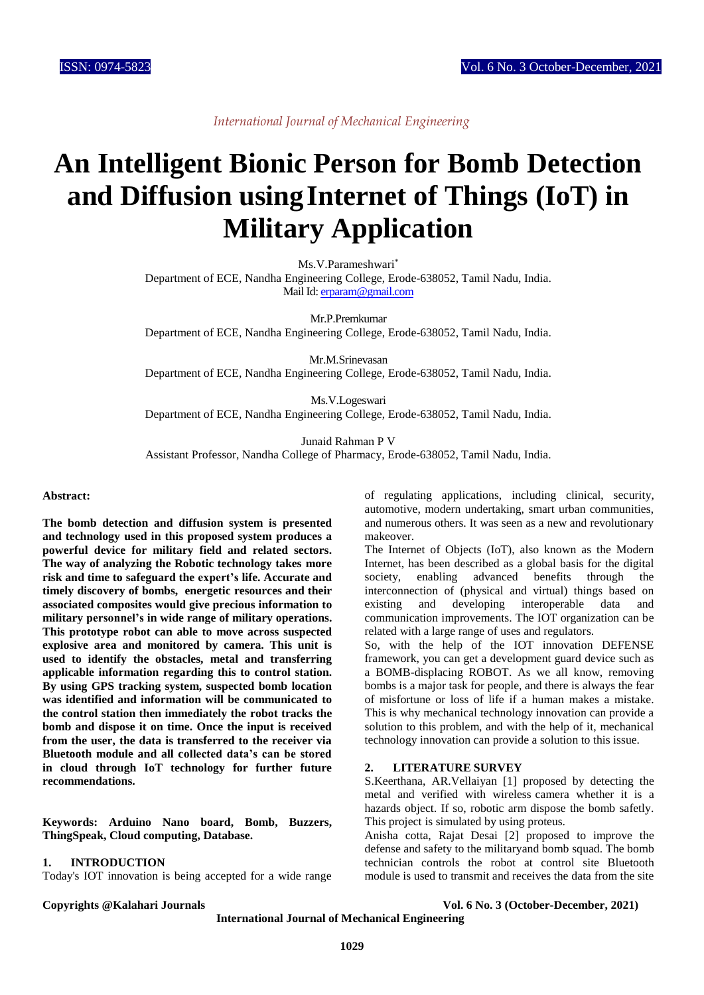# **An Intelligent Bionic Person for Bomb Detection and Diffusion usingInternet of Things (IoT) in Military Application**

Ms.V.Parameshwari\*

Department of ECE, Nandha Engineering College, Erode-638052, Tamil Nadu, India. Mail Id[: erparam@gmail.com](mailto:erparam@gmail.com)

Mr.P.Premkumar Department of ECE, Nandha Engineering College, Erode-638052, Tamil Nadu, India.

Mr.M.Srinevasan Department of ECE, Nandha Engineering College, Erode-638052, Tamil Nadu, India.

Ms.V.Logeswari Department of ECE, Nandha Engineering College, Erode-638052, Tamil Nadu, India.

Junaid Rahman P V Assistant Professor, Nandha College of Pharmacy, Erode-638052, Tamil Nadu, India.

#### **Abstract:**

**The bomb detection and diffusion system is presented and technology used in this proposed system produces a powerful device for military field and related sectors. The way of analyzing the Robotic technology takes more risk and time to safeguard the expert's life. Accurate and timely discovery of bombs, energetic resources and their associated composites would give precious information to military personnel's in wide range of military operations. This prototype robot can able to move across suspected explosive area and monitored by camera. This unit is used to identify the obstacles, metal and transferring applicable information regarding this to control station. By using GPS tracking system, suspected bomb location was identified and information will be communicated to the control station then immediately the robot tracks the bomb and dispose it on time. Once the input is received from the user, the data is transferred to the receiver via Bluetooth module and all collected data's can be stored in cloud through IoT technology for further future recommendations.**

**Keywords: Arduino Nano board, Bomb, Buzzers, ThingSpeak, Cloud computing, Database.**

# **1. INTRODUCTION**

Today's IOT innovation is being accepted for a wide range

of regulating applications, including clinical, security, automotive, modern undertaking, smart urban communities, and numerous others. It was seen as a new and revolutionary makeover.

The Internet of Objects (IoT), also known as the Modern Internet, has been described as a global basis for the digital society, enabling advanced benefits through the interconnection of (physical and virtual) things based on existing and developing interoperable data and existing and developing interoperable data and communication improvements. The IOT organization can be related with a large range of uses and regulators.

So, with the help of the IOT innovation DEFENSE framework, you can get a development guard device such as a BOMB-displacing ROBOT. As we all know, removing bombs is a major task for people, and there is always the fear of misfortune or loss of life if a human makes a mistake. This is why mechanical technology innovation can provide a solution to this problem, and with the help of it, mechanical technology innovation can provide a solution to this issue.

#### **2. LITERATURE SURVEY**

S.Keerthana, AR.Vellaiyan [1] proposed by detecting the metal and verified with wireless camera whether it is a hazards object. If so, robotic arm dispose the bomb safetly. This project is simulated by using proteus.

Anisha cotta, Rajat Desai [2] proposed to improve the defense and safety to the militaryand bomb squad. The bomb technician controls the robot at control site Bluetooth module is used to transmit and receives the data from the site

**Copyrights @Kalahari Journals Vol. 6 No. 3 (October-December, 2021)**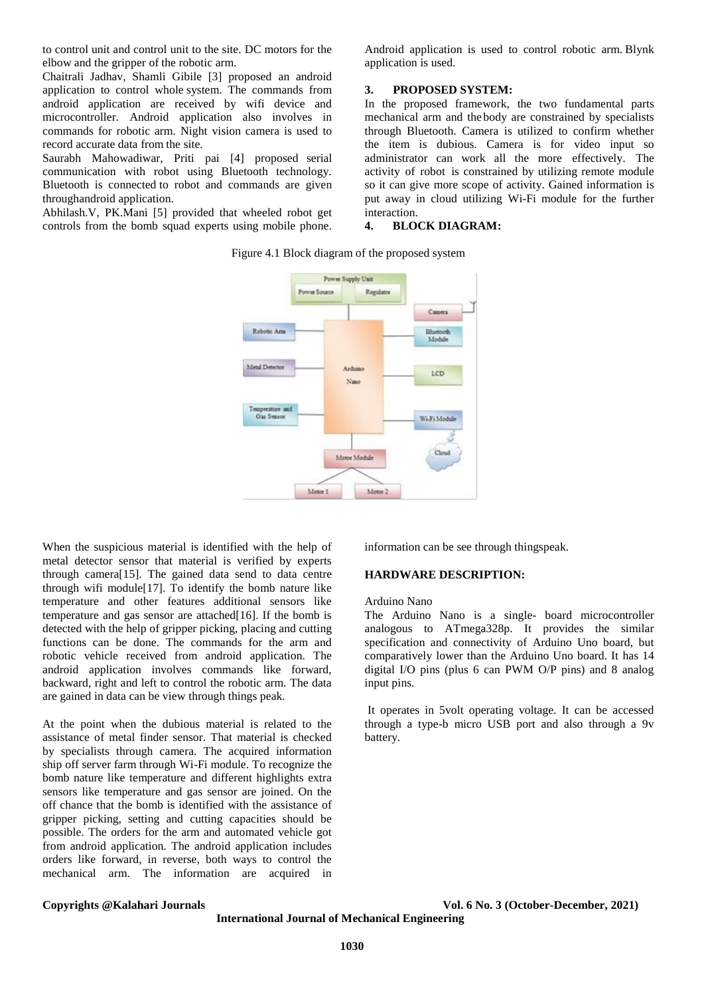to control unit and control unit to the site. DC motors for the elbow and the gripper of the robotic arm.

Chaitrali Jadhav, Shamli Gibile [3] proposed an android application to control whole system. The commands from android application are received by wifi device and microcontroller. Android application also involves in commands for robotic arm. Night vision camera is used to record accurate data from the site.

Saurabh Mahowadiwar, Priti pai [4] proposed serial communication with robot using Bluetooth technology. Bluetooth is connected to robot and commands are given throughandroid application.

Abhilash.V, PK.Mani [5] provided that wheeled robot get controls from the bomb squad experts using mobile phone.

Android application is used to control robotic arm. Blynk application is used.

#### **3. PROPOSED SYSTEM:**

In the proposed framework, the two fundamental parts mechanical arm and the body are constrained by specialists through Bluetooth. Camera is utilized to confirm whether the item is dubious. Camera is for video input so administrator can work all the more effectively. The activity of robot is constrained by utilizing remote module so it can give more scope of activity. Gained information is put away in cloud utilizing Wi-Fi module for the further interaction.

# **4. BLOCK DIAGRAM:**



Figure 4.1 Block diagram of the proposed system

When the suspicious material is identified with the help of metal detector sensor that material is verified by experts through camera[15]. The gained data send to data centre through wifi module[17]. To identify the bomb nature like temperature and other features additional sensors like temperature and gas sensor are attached[16]. If the bomb is detected with the help of gripper picking, placing and cutting functions can be done. The commands for the arm and robotic vehicle received from android application. The android application involves commands like forward, backward, right and left to control the robotic arm. The data are gained in data can be view through things peak.

At the point when the dubious material is related to the assistance of metal finder sensor. That material is checked by specialists through camera. The acquired information ship off server farm through Wi-Fi module. To recognize the bomb nature like temperature and different highlights extra sensors like temperature and gas sensor are joined. On the off chance that the bomb is identified with the assistance of gripper picking, setting and cutting capacities should be possible. The orders for the arm and automated vehicle got from android application. The android application includes orders like forward, in reverse, both ways to control the mechanical arm. The information are acquired in

information can be see through thingspeak.

#### **HARDWARE DESCRIPTION:**

#### Arduino Nano

The Arduino Nano is a single- board microcontroller analogous to ATmega328p. It provides the similar specification and connectivity of Arduino Uno board, but comparatively lower than the Arduino Uno board. It has 14 digital I/O pins (plus 6 can PWM O/P pins) and 8 analog input pins.

It operates in 5volt operating voltage. It can be accessed through a type-b micro USB port and also through a 9v battery.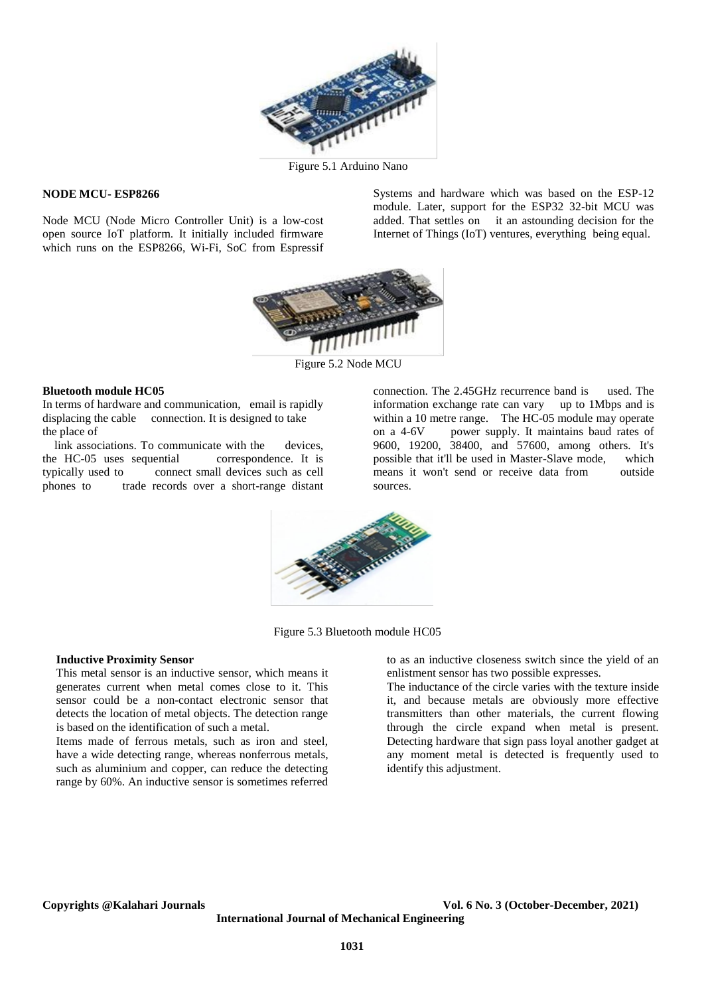

Figure 5.1 Arduino Nano

# **NODE MCU- ESP8266**

Node MCU (Node Micro Controller Unit) is a low-cost open source IoT platform. It initially included firmware which runs on the ESP8266, Wi-Fi, SoC from Espressif Systems and hardware which was based on the ESP-12 module. Later, support for the ESP32 32-bit MCU was added. That settles on it an astounding decision for the Internet of Things (IoT) ventures, everything being equal.



Figure 5.2 Node MCU

#### **Bluetooth module HC05**

In terms of hardware and communication, email is rapidly displacing the cable connection. It is designed to take the place of

link associations. To communicate with the devices,<br>e HC-05 uses sequential correspondence. It is the HC-05 uses sequential<br>typically used to conne connect small devices such as cell phones to trade records over a short-range distant connection. The 2.45GHz recurrence band is used. The information exchange rate can vary up to 1Mbps and is within a 10 metre range. The HC-05 module may operate on a 4-6V power supply. It maintains baud rates of 9600, 19200, 38400, and 57600, among others. It's possible that it'll be used in Master-Slave mode. which possible that it'll be used in Master-Slave mode, which<br>means it won't send or receive data from outside means it won't send or receive data from sources.



Figure 5.3 Bluetooth module HC05

#### **Inductive Proximity Sensor**

This metal sensor is an inductive sensor, which means it generates current when metal comes close to it. This sensor could be a non-contact electronic sensor that detects the location of metal objects. The detection range is based on the identification of such a metal.

Items made of ferrous metals, such as iron and steel, have a wide detecting range, whereas nonferrous metals, such as aluminium and copper, can reduce the detecting range by 60%. An inductive sensor is sometimes referred

to as an inductive closeness switch since the yield of an enlistment sensor has two possible expresses.

The inductance of the circle varies with the texture inside it, and because metals are obviously more effective transmitters than other materials, the current flowing through the circle expand when metal is present. Detecting hardware that sign pass loyal another gadget at any moment metal is detected is frequently used to identify this adjustment.

**Copyrights @Kalahari Journals Vol. 6 No. 3 (October-December, 2021) International Journal of Mechanical Engineering**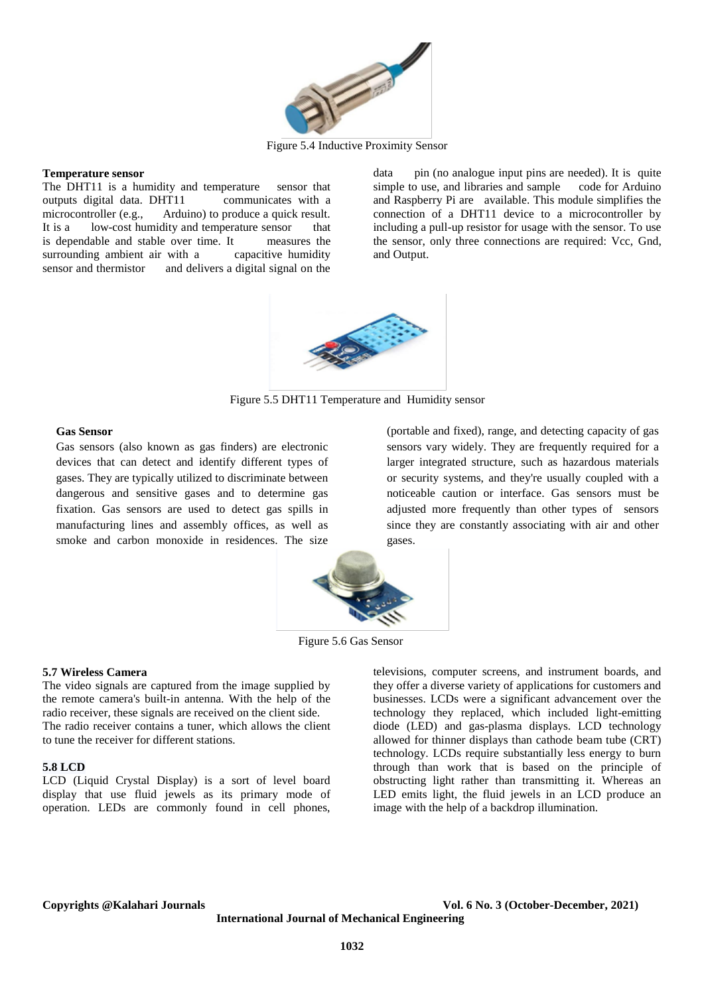

Figure 5.4 Inductive Proximity Sensor

#### **Temperature sensor**

The DHT11 is a humidity and temperature sensor that outputs digital data. DHT11 communicates with a outputs digital data. DHT11<br>microcontroller (e.g., Ardu microcontroller (e.g., Arduino) to produce a quick result.<br>It is a low-cost humidity and temperature sensor that low-cost humidity and temperature sensor that is dependable and stable over time. It measures the surrounding ambient air with a capacitive humidity sensor and thermistor and delivers a digital signal on the data pin (no analogue input pins are needed). It is quite simple to use, and libraries and sample code for Arduino simple to use, and libraries and sample and Raspberry Pi are available. This module simplifies the connection of a DHT11 device to a microcontroller by including a pull-up resistor for usage with the sensor. To use the sensor, only three connections are required: Vcc, Gnd, and Output.



Figure 5.5 DHT11 Temperature and Humidity sensor

#### **Gas Sensor**

Gas sensors (also known as gas finders) are electronic devices that can detect and identify different types of gases. They are typically utilized to discriminate between dangerous and sensitive gases and to determine gas fixation. Gas sensors are used to detect gas spills in manufacturing lines and assembly offices, as well as smoke and carbon monoxide in residences. The size

(portable and fixed), range, and detecting capacity of gas sensors vary widely. They are frequently required for a larger integrated structure, such as hazardous materials or security systems, and they're usually coupled with a noticeable caution or interface. Gas sensors must be adjusted more frequently than other types of sensors since they are constantly associating with air and other gases.



Figure 5.6 Gas Sensor

#### **5.7 Wireless Camera**

The video signals are captured from the image supplied by the remote camera's built-in antenna. With the help of the radio receiver, these signals are received on the client side. The radio receiver contains a tuner, which allows the client to tune the receiver for different stations.

# **5.8 LCD**

LCD (Liquid Crystal Display) is a sort of level board display that use fluid jewels as its primary mode of operation. LEDs are commonly found in cell phones,

televisions, computer screens, and instrument boards, and they offer a diverse variety of applications for customers and businesses. LCDs were a significant advancement over the technology they replaced, which included light-emitting diode (LED) and gas-plasma displays. LCD technology allowed for thinner displays than cathode beam tube (CRT) technology. LCDs require substantially less energy to burn through than work that is based on the principle of obstructing light rather than transmitting it. Whereas an LED emits light, the fluid jewels in an LCD produce an image with the help of a backdrop illumination.

#### **Copyrights @Kalahari Journals Vol. 6 No. 3 (October-December, 2021)**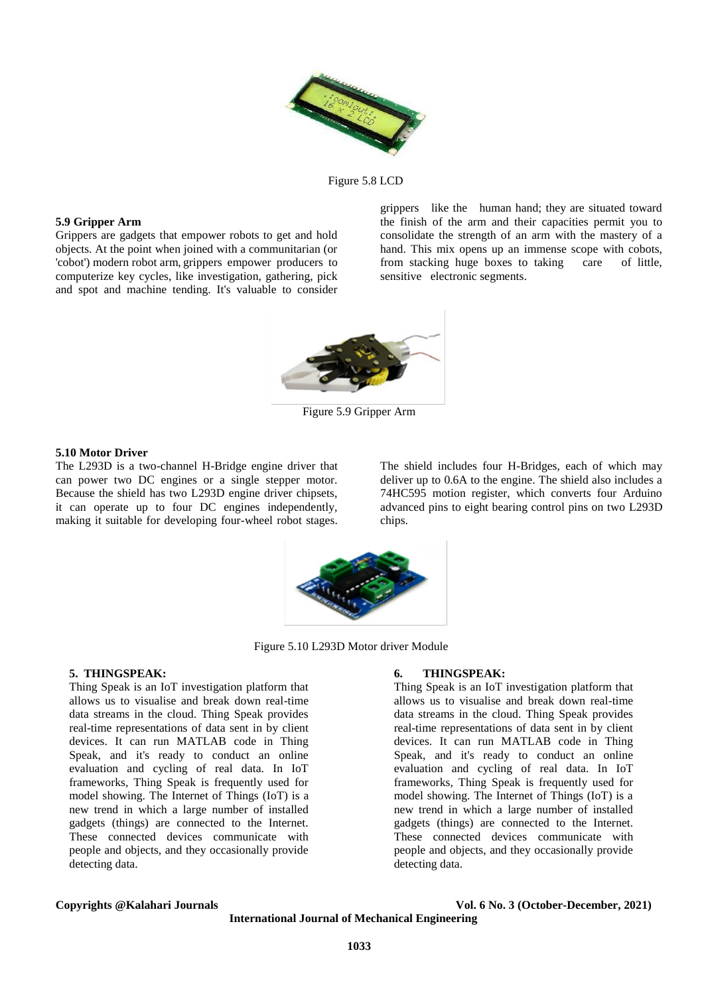

Figure 5.8 LCD

#### **5.9 Gripper Arm**

Grippers are gadgets that empower robots to get and hold objects. At the point when joined with a communitarian (or 'cobot') modern robot arm, grippers empower producers to computerize key cycles, like investigation, gathering, pick and spot and machine tending. It's valuable to consider grippers like the human hand; they are situated toward the finish of the arm and their capacities permit you to consolidate the strength of an arm with the mastery of a hand. This mix opens up an immense scope with cobots, from stacking huge boxes to taking care of little, sensitive electronic segments.



Figure 5.9 Gripper Arm

#### **5.10 Motor Driver**

The L293D is a two-channel H-Bridge engine driver that can power two DC engines or a single stepper motor. Because the shield has two L293D engine driver chipsets, it can operate up to four DC engines independently, making it suitable for developing four-wheel robot stages. The shield includes four H-Bridges, each of which may deliver up to 0.6A to the engine. The shield also includes a 74HC595 motion register, which converts four Arduino advanced pins to eight bearing control pins on two L293D chips.



Figure 5.10 L293D Motor driver Module

# **5. THINGSPEAK:**

Thing Speak is an IoT investigation platform that allows us to visualise and break down real-time data streams in the cloud. Thing Speak provides real-time representations of data sent in by client devices. It can run MATLAB code in Thing Speak, and it's ready to conduct an online evaluation and cycling of real data. In IoT frameworks, Thing Speak is frequently used for model showing. The Internet of Things (IoT) is a new trend in which a large number of installed gadgets (things) are connected to the Internet. These connected devices communicate with people and objects, and they occasionally provide detecting data.

#### **6. THINGSPEAK:**

Thing Speak is an IoT investigation platform that allows us to visualise and break down real-time data streams in the cloud. Thing Speak provides real-time representations of data sent in by client devices. It can run MATLAB code in Thing Speak, and it's ready to conduct an online evaluation and cycling of real data. In IoT frameworks, Thing Speak is frequently used for model showing. The Internet of Things (IoT) is a new trend in which a large number of installed gadgets (things) are connected to the Internet. These connected devices communicate with people and objects, and they occasionally provide detecting data.

#### **Copyrights @Kalahari Journals Vol. 6 No. 3 (October-December, 2021)**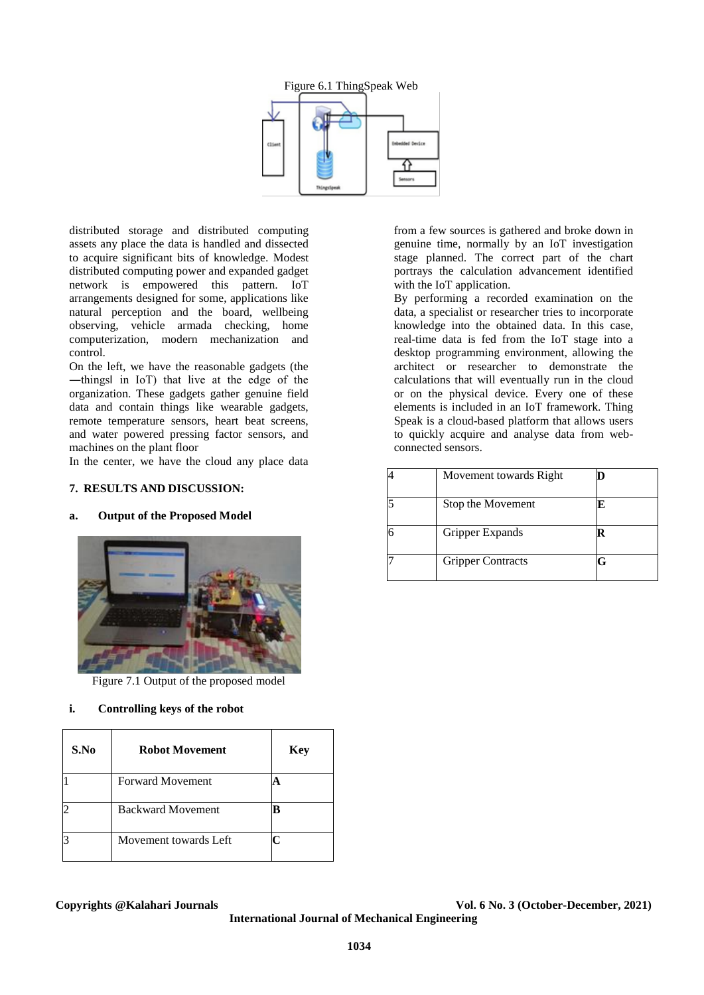



distributed storage and distributed computing assets any place the data is handled and dissected to acquire significant bits of knowledge. Modest distributed computing power and expanded gadget network is empowered this pattern. IoT arrangements designed for some, applications like natural perception and the board, wellbeing observing, vehicle armada checking, home computerization, modern mechanization and control.

On the left, we have the reasonable gadgets (the ―things‖ in IoT) that live at the edge of the organization. These gadgets gather genuine field data and contain things like wearable gadgets, remote temperature sensors, heart beat screens, and water powered pressing factor sensors, and machines on the plant floor

In the center, we have the cloud any place data

# **7. RESULTS AND DISCUSSION:**

# **a. Output of the Proposed Model**



Figure 7.1 Output of the proposed model

# **i. Controlling keys of the robot**

| S.No | <b>Robot Movement</b>    | <b>Key</b> |
|------|--------------------------|------------|
|      | <b>Forward Movement</b>  |            |
|      | <b>Backward Movement</b> |            |
|      | Movement towards Left    |            |

from a few sources is gathered and broke down in genuine time, normally by an IoT investigation stage planned. The correct part of the chart portrays the calculation advancement identified with the IoT application.

By performing a recorded examination on the data, a specialist or researcher tries to incorporate knowledge into the obtained data. In this case, real-time data is fed from the IoT stage into a desktop programming environment, allowing the architect or researcher to demonstrate the calculations that will eventually run in the cloud or on the physical device. Every one of these elements is included in an IoT framework. Thing Speak is a cloud-based platform that allows users to quickly acquire and analyse data from webconnected sensors.

| Movement towards Right   |  |
|--------------------------|--|
| Stop the Movement        |  |
| Gripper Expands          |  |
| <b>Gripper Contracts</b> |  |

**Copyrights @Kalahari Journals Vol. 6 No. 3 (October-December, 2021)**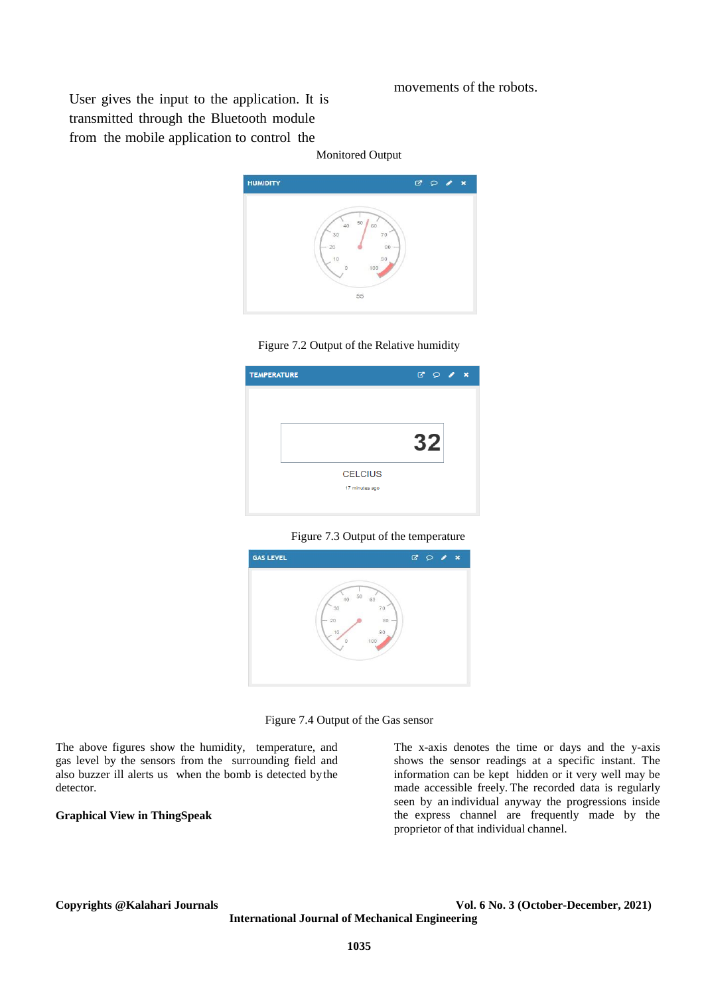# movements of the robots.

User gives the input to the application. It is transmitted through the Bluetooth module from the mobile application to control the













The above figures show the humidity, temperature, and gas level by the sensors from the surrounding field and also buzzer ill alerts us when the bomb is detected bythe detector.

### **Graphical View in ThingSpeak**

The x-axis denotes the time or days and the y-axis shows the sensor readings at a specific instant. The information can be kept hidden or it very well may be made accessible freely. The recorded data is regularly seen by an individual anyway the progressions inside the express channel are frequently made by the proprietor of that individual channel.

#### **Copyrights @Kalahari Journals Vol. 6 No. 3 (October-December, 2021)**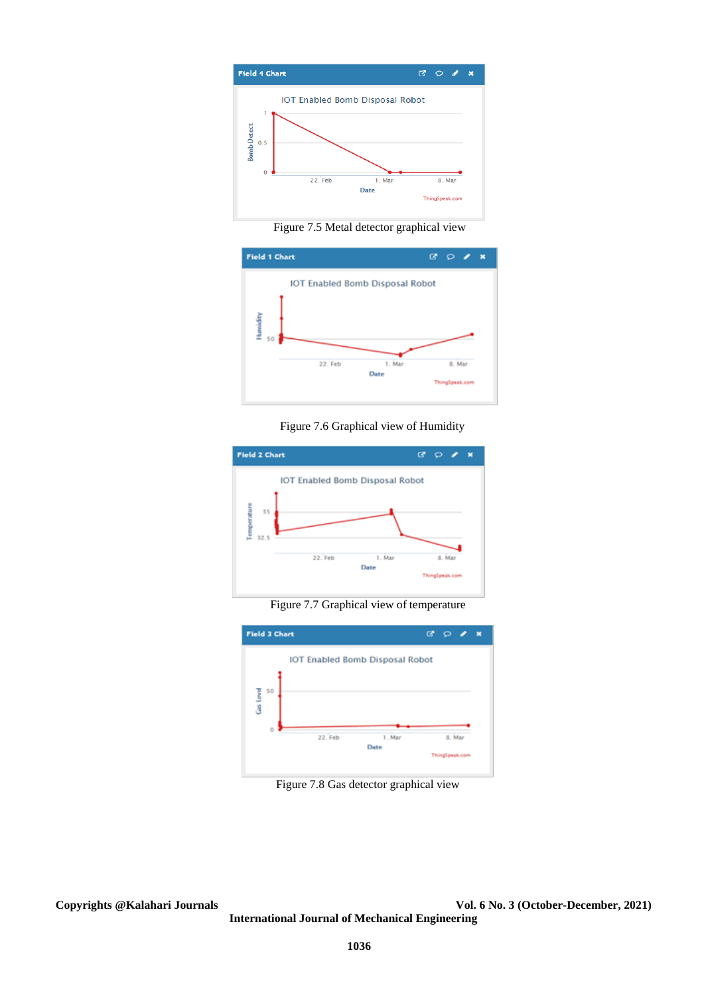

Figure 7.5 Metal detector graphical view



Figure 7.6 Graphical view of Humidity



Figure 7.7 Graphical view of temperature



Figure 7.8 Gas detector graphical view

**Copyrights @Kalahari Journals Vol. 6 No. 3 (October-December, 2021) International Journal of Mechanical Engineering**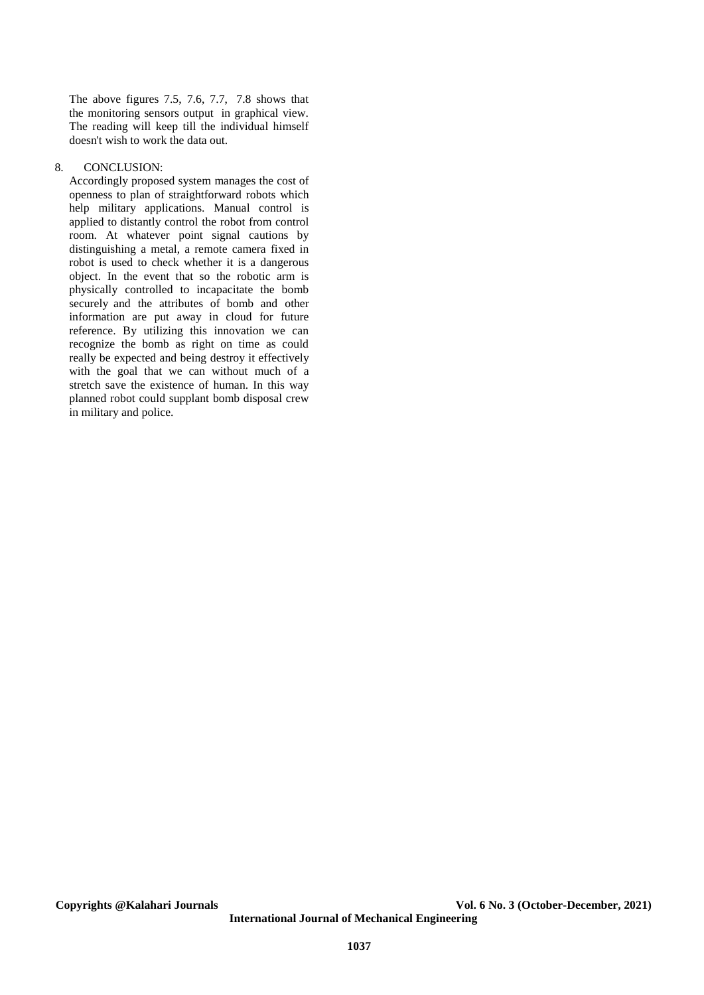The above figures 7.5, 7.6, 7.7, 7.8 shows that the monitoring sensors output in graphical view. The reading will keep till the individual himself doesn't wish to work the data out.

### 8. CONCLUSION:

Accordingly proposed system manages the cost of openness to plan of straightforward robots which help military applications. Manual control is applied to distantly control the robot from control room. At whatever point signal cautions by distinguishing a metal, a remote camera fixed in robot is used to check whether it is a dangerous object. In the event that so the robotic arm is physically controlled to incapacitate the bomb securely and the attributes of bomb and other information are put away in cloud for future reference. By utilizing this innovation we can recognize the bomb as right on time as could really be expected and being destroy it effectively with the goal that we can without much of a stretch save the existence of human. In this way planned robot could supplant bomb disposal crew in military and police.